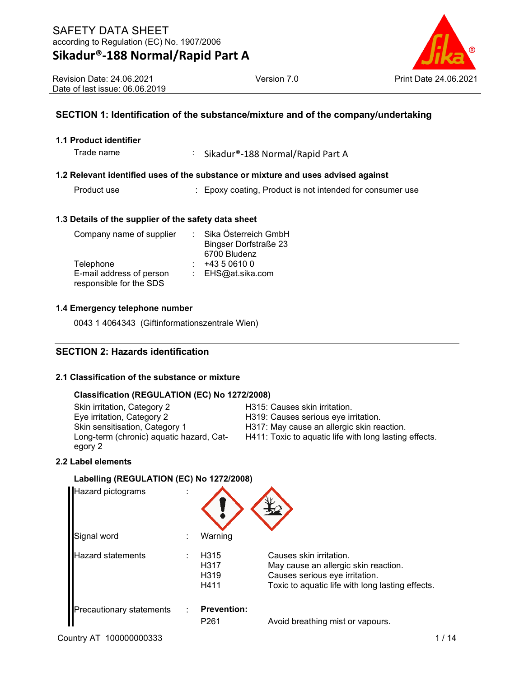

# **SECTION 1: Identification of the substance/mixture and of the company/undertaking**

#### **1.1 Product identifier**

Trade name : Sikadur®-188 Normal/Rapid Part A

#### **1.2 Relevant identified uses of the substance or mixture and uses advised against**

Product use : Epoxy coating, Product is not intended for consumer use

#### **1.3 Details of the supplier of the safety data sheet**

| Company name of supplier | Sika Österreich GmbH         |
|--------------------------|------------------------------|
|                          | <b>Bingser Dorfstraße 23</b> |
|                          | 6700 Bludenz                 |
| Telephone                | +43 5 0610 0                 |
| E-mail address of person | : EHS@at.sika.com            |
| responsible for the SDS  |                              |

#### **1.4 Emergency telephone number**

0043 1 4064343 (Giftinformationszentrale Wien)

# **SECTION 2: Hazards identification**

#### **2.1 Classification of the substance or mixture**

#### **Classification (REGULATION (EC) No 1272/2008)**

Skin irritation, Category 2 H315: Causes skin irritation. Eye irritation, Category 2 Fashion, Category 2 Fashion.<br>Skin sensitisation, Category 1 Fashion, Category 1 Fashion, H317: May cause an allergic skin really Long-term (chronic) aquatic hazard, Category 2

H317: May cause an allergic skin reaction. H411: Toxic to aquatic life with long lasting effects.

### **2.2 Label elements**

#### **Labelling (REGULATION (EC) No 1272/2008)**

| <b>Hazard pictograms</b>        |                                          |                                                                                                                                                       |
|---------------------------------|------------------------------------------|-------------------------------------------------------------------------------------------------------------------------------------------------------|
| Signal word                     | Warning                                  |                                                                                                                                                       |
| <b>Hazard statements</b>        | H315<br>H317<br>H <sub>319</sub><br>H411 | Causes skin irritation.<br>May cause an allergic skin reaction.<br>Causes serious eye irritation.<br>Toxic to aquatic life with long lasting effects. |
| <b>Precautionary statements</b> | <b>Prevention:</b><br>P <sub>261</sub>   | Avoid breathing mist or vapours.                                                                                                                      |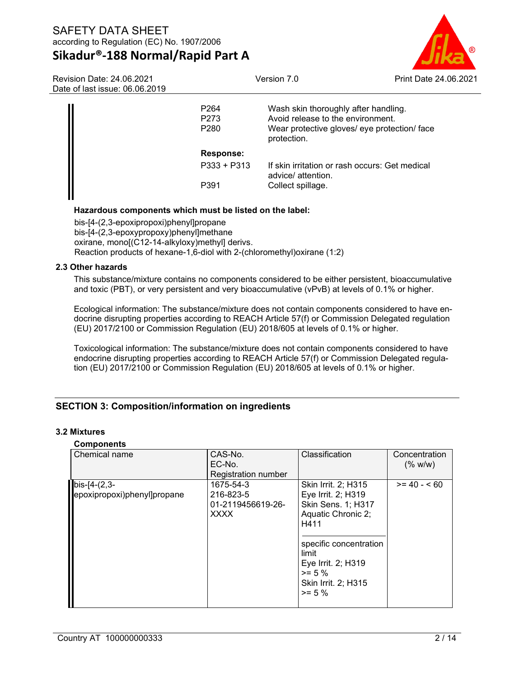

| Revision Date: 24.06.2021<br>Date of last issue: 06.06.2019 |                                              | Version 7.0                                                                                                                              | Print Date 24,06,2021 |
|-------------------------------------------------------------|----------------------------------------------|------------------------------------------------------------------------------------------------------------------------------------------|-----------------------|
|                                                             | P <sub>264</sub><br>P273<br>P <sub>280</sub> | Wash skin thoroughly after handling.<br>Avoid release to the environment.<br>Wear protective gloves/ eye protection/ face<br>protection. |                       |
|                                                             | Response:                                    |                                                                                                                                          |                       |
|                                                             | $P333 + P313$                                | If skin irritation or rash occurs: Get medical<br>advice/ attention.                                                                     |                       |
|                                                             | P391                                         | Collect spillage.                                                                                                                        |                       |

#### **Hazardous components which must be listed on the label:**

bis-[4-(2,3-epoxipropoxi)phenyl]propane bis-[4-(2,3-epoxypropoxy)phenyl]methane oxirane, mono[(C12-14-alkyloxy)methyl] derivs. Reaction products of hexane-1,6-diol with 2-(chloromethyl)oxirane (1:2)

#### **2.3 Other hazards**

This substance/mixture contains no components considered to be either persistent, bioaccumulative and toxic (PBT), or very persistent and very bioaccumulative (vPvB) at levels of 0.1% or higher.

Ecological information: The substance/mixture does not contain components considered to have endocrine disrupting properties according to REACH Article 57(f) or Commission Delegated regulation (EU) 2017/2100 or Commission Regulation (EU) 2018/605 at levels of 0.1% or higher.

Toxicological information: The substance/mixture does not contain components considered to have endocrine disrupting properties according to REACH Article 57(f) or Commission Delegated regulation (EU) 2017/2100 or Commission Regulation (EU) 2018/605 at levels of 0.1% or higher.

# **SECTION 3: Composition/information on ingredients**

#### **3.2 Mixtures**

#### **Components**

| pooo                        |                            |                        |               |
|-----------------------------|----------------------------|------------------------|---------------|
| Chemical name               | CAS-No.                    | Classification         | Concentration |
|                             | EC-No.                     |                        | (% w/w)       |
|                             | <b>Registration number</b> |                        |               |
| $bis - [4-(2,3-$            | 1675-54-3                  | Skin Irrit. 2; H315    | $>= 40 - 60$  |
| epoxipropoxi)phenyl]propane | 216-823-5                  | Eye Irrit. 2; H319     |               |
|                             | 01-2119456619-26-          | Skin Sens. 1; H317     |               |
|                             | <b>XXXX</b>                | Aquatic Chronic 2;     |               |
|                             |                            | H411                   |               |
|                             |                            |                        |               |
|                             |                            | specific concentration |               |
|                             |                            | limit                  |               |
|                             |                            | Eye Irrit. 2; H319     |               |
|                             |                            | $>= 5 \%$              |               |
|                             |                            | Skin Irrit. 2; H315    |               |
|                             |                            | $>= 5 \%$              |               |
|                             |                            |                        |               |
|                             |                            |                        |               |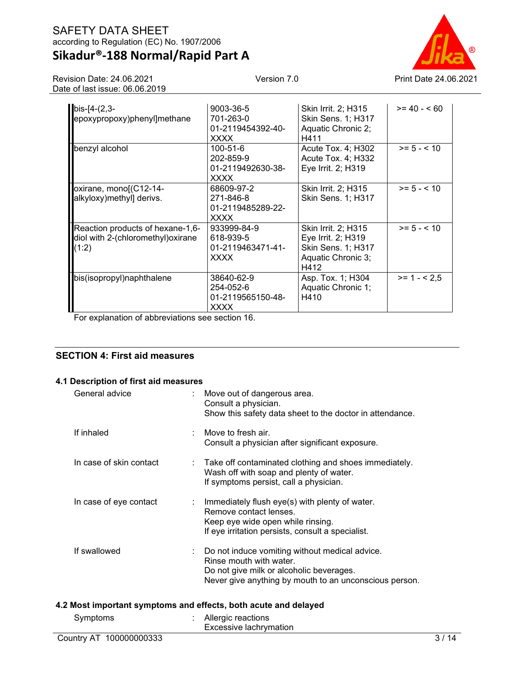# **Sikadur®-188 Normal/Rapid Part A**

Revision Date: 24.06.2021 Date of last issue: 06.06.2019



| $bis - [4-(2,3-$                   | 9003-36-5         | Skin Irrit. 2; H315       | $>= 40 - 60$  |
|------------------------------------|-------------------|---------------------------|---------------|
| epoxypropoxy)phenyl]methane        | 701-263-0         | Skin Sens. 1; H317        |               |
|                                    | 01-2119454392-40- | Aquatic Chronic 2;        |               |
|                                    | <b>XXXX</b>       | H411                      |               |
| benzyl alcohol                     | 100-51-6          | Acute Tox. 4; H302        | $>= 5 - < 10$ |
|                                    | 202-859-9         | Acute Tox. 4; H332        |               |
|                                    | 01-2119492630-38- | Eye Irrit. 2; H319        |               |
|                                    | <b>XXXX</b>       |                           |               |
| oxirane, mono[(C12-14-             | 68609-97-2        | Skin Irrit. 2; H315       | $>= 5 - < 10$ |
| alkyloxy)methyl] derivs.           | 271-846-8         | Skin Sens. 1; H317        |               |
|                                    | 01-2119485289-22- |                           |               |
|                                    | <b>XXXX</b>       |                           |               |
| Reaction products of hexane-1,6-   | 933999-84-9       | Skin Irrit. 2; H315       | $>= 5 - < 10$ |
| diol with 2-(chloromethyl) oxirane | 618-939-5         | Eye Irrit. 2; H319        |               |
| (1:2)                              | 01-2119463471-41- | <b>Skin Sens. 1; H317</b> |               |
|                                    | <b>XXXX</b>       | Aquatic Chronic 3;        |               |
|                                    |                   | H412                      |               |
| bis(isopropyl)naphthalene          | 38640-62-9        | Asp. Tox. 1; H304         | $>= 1 - 2.5$  |
|                                    | 254-052-6         | Aquatic Chronic 1;        |               |
|                                    | 01-2119565150-48- | H410                      |               |
|                                    | <b>XXXX</b>       |                           |               |

For explanation of abbreviations see section 16.

## **SECTION 4: First aid measures**

### **4.1 Description of first aid measures**

| General advice          |   | : Move out of dangerous area.<br>Consult a physician.<br>Show this safety data sheet to the doctor in attendance.                                                               |
|-------------------------|---|---------------------------------------------------------------------------------------------------------------------------------------------------------------------------------|
| If inhaled              |   | Move to fresh air.<br>Consult a physician after significant exposure.                                                                                                           |
| In case of skin contact | ÷ | Take off contaminated clothing and shoes immediately.<br>Wash off with soap and plenty of water.<br>If symptoms persist, call a physician.                                      |
| In case of eye contact  |   | : Immediately flush eye(s) with plenty of water.<br>Remove contact lenses.<br>Keep eye wide open while rinsing.<br>If eye irritation persists, consult a specialist.            |
| If swallowed            |   | Do not induce vomiting without medical advice.<br>Rinse mouth with water.<br>Do not give milk or alcoholic beverages.<br>Never give anything by mouth to an unconscious person. |
|                         |   | 4.2 Most important symptoms and effects, both acute and delayed                                                                                                                 |
| Symptoms                |   | Allergic reactions                                                                                                                                                              |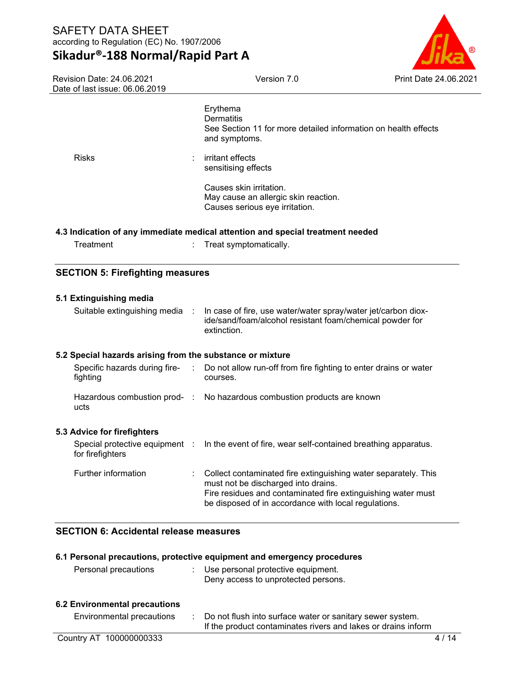# **Sikadur®-188 Normal/Rapid Part A**



| Revision Date: 24.06.2021<br>Date of last issue: 06.06.2019         | Version 7.0                                                                                                                                                                                                                   | Print Date 24.06.2021 |
|---------------------------------------------------------------------|-------------------------------------------------------------------------------------------------------------------------------------------------------------------------------------------------------------------------------|-----------------------|
|                                                                     | Erythema<br><b>Dermatitis</b><br>See Section 11 for more detailed information on health effects<br>and symptoms.                                                                                                              |                       |
| <b>Risks</b>                                                        | irritant effects<br>sensitising effects                                                                                                                                                                                       |                       |
|                                                                     | Causes skin irritation.<br>May cause an allergic skin reaction.<br>Causes serious eye irritation.                                                                                                                             |                       |
|                                                                     | 4.3 Indication of any immediate medical attention and special treatment needed                                                                                                                                                |                       |
| Treatment                                                           | Treat symptomatically.                                                                                                                                                                                                        |                       |
| <b>SECTION 5: Firefighting measures</b>                             |                                                                                                                                                                                                                               |                       |
| 5.1 Extinguishing media<br>Suitable extinguishing media<br>$\sim$ 1 | In case of fire, use water/water spray/water jet/carbon diox-<br>ide/sand/foam/alcohol resistant foam/chemical powder for<br>extinction.                                                                                      |                       |
| 5.2 Special hazards arising from the substance or mixture           |                                                                                                                                                                                                                               |                       |
| Specific hazards during fire-<br>fighting                           | Do not allow run-off from fire fighting to enter drains or water<br>$\mathcal{I}^{\mathcal{I}}$ .<br>courses.                                                                                                                 |                       |
| ucts                                                                | Hazardous combustion prod- : No hazardous combustion products are known                                                                                                                                                       |                       |
| 5.3 Advice for firefighters                                         |                                                                                                                                                                                                                               |                       |
| Special protective equipment :<br>for firefighters                  | In the event of fire, wear self-contained breathing apparatus.                                                                                                                                                                |                       |
| Further information                                                 | Collect contaminated fire extinguishing water separately. This<br>must not be discharged into drains.<br>Fire residues and contaminated fire extinguishing water must<br>be disposed of in accordance with local regulations. |                       |

# **SECTION 6: Accidental release measures**

| 6.1 Personal precautions, protective equipment and emergency procedures |  |                                                                                                                            |  |  |  |
|-------------------------------------------------------------------------|--|----------------------------------------------------------------------------------------------------------------------------|--|--|--|
| Personal precautions                                                    |  | Use personal protective equipment.<br>Deny access to unprotected persons.                                                  |  |  |  |
| <b>6.2 Environmental precautions</b>                                    |  |                                                                                                                            |  |  |  |
| Environmental precautions                                               |  | Do not flush into surface water or sanitary sewer system.<br>If the product contaminates rivers and lakes or drains inform |  |  |  |
| Country AT 100000000333                                                 |  |                                                                                                                            |  |  |  |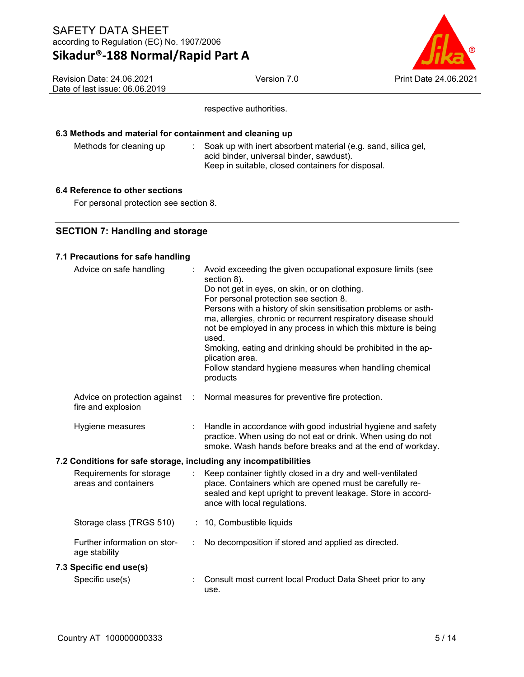

Revision Date: 24.06.2021 Date of last issue: 06.06.2019

respective authorities.

### **6.3 Methods and material for containment and cleaning up**

Methods for cleaning up : Soak up with inert absorbent material (e.g. sand, silica gel, acid binder, universal binder, sawdust). Keep in suitable, closed containers for disposal.

### **6.4 Reference to other sections**

For personal protection see section 8.

## **SECTION 7: Handling and storage**

### **7.1 Precautions for safe handling**

| Advice on safe handling                                          |   | Avoid exceeding the given occupational exposure limits (see<br>section 8).<br>Do not get in eyes, on skin, or on clothing.<br>For personal protection see section 8.<br>Persons with a history of skin sensitisation problems or asth-<br>ma, allergies, chronic or recurrent respiratory disease should<br>not be employed in any process in which this mixture is being<br>used.<br>Smoking, eating and drinking should be prohibited in the ap-<br>plication area.<br>Follow standard hygiene measures when handling chemical<br>products |
|------------------------------------------------------------------|---|----------------------------------------------------------------------------------------------------------------------------------------------------------------------------------------------------------------------------------------------------------------------------------------------------------------------------------------------------------------------------------------------------------------------------------------------------------------------------------------------------------------------------------------------|
| Advice on protection against<br>fire and explosion               | ÷ | Normal measures for preventive fire protection.                                                                                                                                                                                                                                                                                                                                                                                                                                                                                              |
| Hygiene measures                                                 |   | Handle in accordance with good industrial hygiene and safety<br>practice. When using do not eat or drink. When using do not<br>smoke. Wash hands before breaks and at the end of workday.                                                                                                                                                                                                                                                                                                                                                    |
| 7.2 Conditions for safe storage, including any incompatibilities |   |                                                                                                                                                                                                                                                                                                                                                                                                                                                                                                                                              |
| Requirements for storage<br>areas and containers                 |   | Keep container tightly closed in a dry and well-ventilated<br>place. Containers which are opened must be carefully re-<br>sealed and kept upright to prevent leakage. Store in accord-<br>ance with local regulations.                                                                                                                                                                                                                                                                                                                       |
| Storage class (TRGS 510)                                         |   | : 10, Combustible liquids                                                                                                                                                                                                                                                                                                                                                                                                                                                                                                                    |
| Further information on stor-<br>age stability                    |   | No decomposition if stored and applied as directed.                                                                                                                                                                                                                                                                                                                                                                                                                                                                                          |
| 7.3 Specific end use(s)                                          |   |                                                                                                                                                                                                                                                                                                                                                                                                                                                                                                                                              |
| Specific use(s)                                                  |   | Consult most current local Product Data Sheet prior to any<br>use.                                                                                                                                                                                                                                                                                                                                                                                                                                                                           |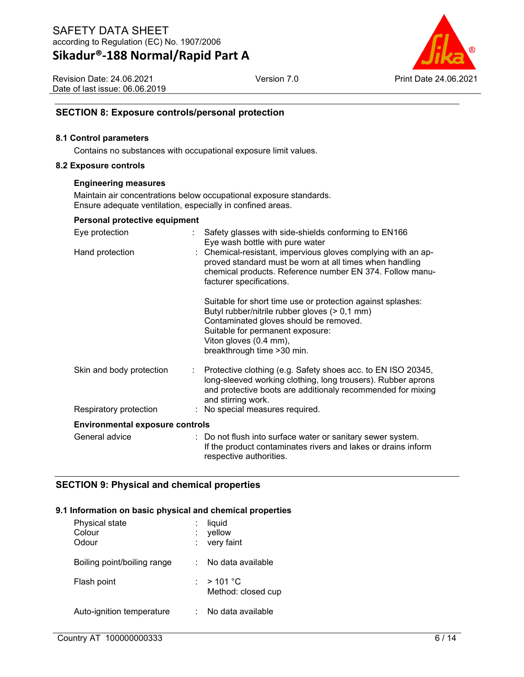

Revision Date: 24.06.2021 Date of last issue: 06.06.2019

# **SECTION 8: Exposure controls/personal protection**

#### **8.1 Control parameters**

Contains no substances with occupational exposure limit values.

#### **8.2 Exposure controls**

#### **Engineering measures**

Maintain air concentrations below occupational exposure standards. Ensure adequate ventilation, especially in confined areas.

| Eye protection                         |    | Safety glasses with side-shields conforming to EN166<br>Eye wash bottle with pure water                                                                                                                                                             |
|----------------------------------------|----|-----------------------------------------------------------------------------------------------------------------------------------------------------------------------------------------------------------------------------------------------------|
| Hand protection                        |    | : Chemical-resistant, impervious gloves complying with an ap-<br>proved standard must be worn at all times when handling<br>chemical products. Reference number EN 374. Follow manu-<br>facturer specifications.                                    |
|                                        |    | Suitable for short time use or protection against splashes:<br>Butyl rubber/nitrile rubber gloves (> 0,1 mm)<br>Contaminated gloves should be removed.<br>Suitable for permanent exposure:<br>Viton gloves (0.4 mm),<br>breakthrough time > 30 min. |
| Skin and body protection               | t. | Protective clothing (e.g. Safety shoes acc. to EN ISO 20345,<br>long-sleeved working clothing, long trousers). Rubber aprons<br>and protective boots are additionaly recommended for mixing<br>and stirring work.                                   |
| Respiratory protection                 |    | : No special measures required.                                                                                                                                                                                                                     |
| <b>Environmental exposure controls</b> |    |                                                                                                                                                                                                                                                     |
| General advice                         |    | : Do not flush into surface water or sanitary sewer system.<br>If the product contaminates rivers and lakes or drains inform<br>respective authorities.                                                                                             |

## **SECTION 9: Physical and chemical properties**

#### **9.1 Information on basic physical and chemical properties**

| Physical state<br>Colour<br>Odour | liquid<br>yellow<br>very faint     |
|-----------------------------------|------------------------------------|
| Boiling point/boiling range       | No data available                  |
| Flash point                       | : $>$ 101 °C<br>Method: closed cup |
| Auto-ignition temperature         | No data available                  |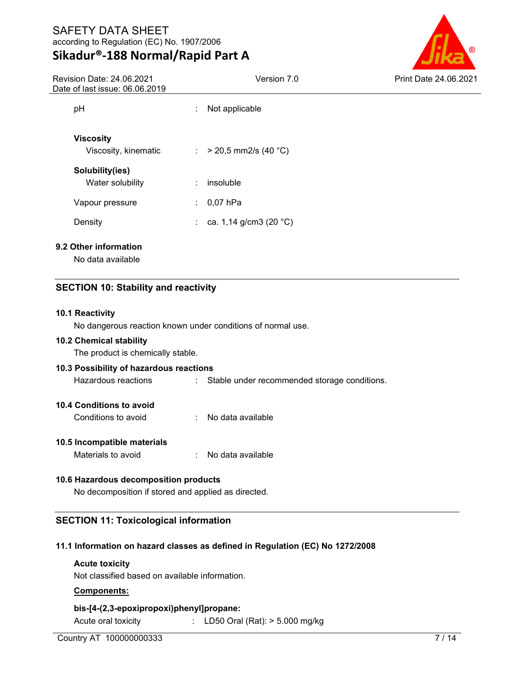# **Sikadur®-188 Normal/Rapid Part A**

Revision Date: 24.06.2021 Date of last issue: 06.06.2019



| Jate of last Issue: 06.06.2019           |    |                                    |  |  |
|------------------------------------------|----|------------------------------------|--|--|
| pH                                       | ÷. | Not applicable                     |  |  |
| <b>Viscosity</b><br>Viscosity, kinematic |    | : $> 20.5$ mm2/s (40 °C)           |  |  |
| Solubility(ies)<br>Water solubility      | ÷  | insoluble                          |  |  |
| Vapour pressure                          |    | : $0,07$ hPa                       |  |  |
| Density                                  |    | : ca. 1,14 g/cm3 (20 $^{\circ}$ C) |  |  |
| 9.2 Other information                    |    |                                    |  |  |

No data available

## **SECTION 10: Stability and reactivity**

#### **10.1 Reactivity**

No dangerous reaction known under conditions of normal use.

#### **10.2 Chemical stability**

The product is chemically stable.

# **10.3 Possibility of hazardous reactions** Hazardous reactions : Stable under recommended storage conditions.

### **10.4 Conditions to avoid**

Conditions to avoid : No data available

### **10.5 Incompatible materials**

Materials to avoid : No data available

#### **10.6 Hazardous decomposition products**

No decomposition if stored and applied as directed.

## **SECTION 11: Toxicological information**

#### **11.1 Information on hazard classes as defined in Regulation (EC) No 1272/2008**

#### **Acute toxicity**

Not classified based on available information.

#### **Components:**

**bis-[4-(2,3-epoxipropoxi)phenyl]propane:**

Acute oral toxicity : LD50 Oral (Rat): > 5.000 mg/kg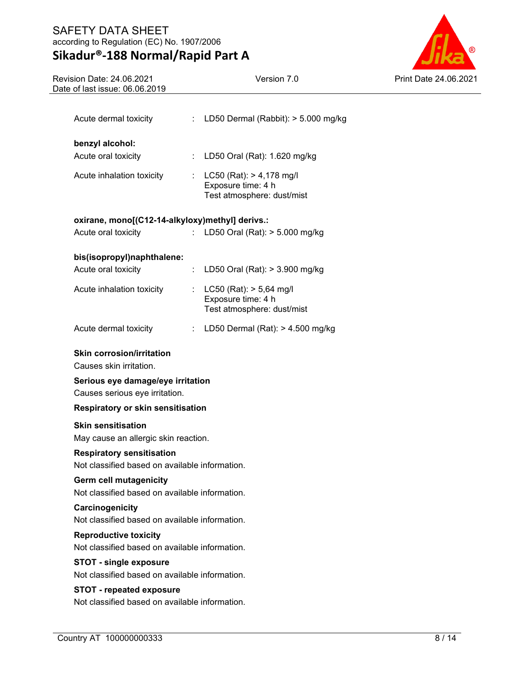# **Sikadur®-188 Normal/Rapid Part A**

Version 7.0 Print Date 24.06.2021

| Revision Date: 24.06.2021      |  |
|--------------------------------|--|
| Date of last issue: 06.06.2019 |  |
|                                |  |

| Acute dermal toxicity                                               | ÷  | LD50 Dermal (Rabbit): > 5.000 mg/kg                                          |  |  |  |  |
|---------------------------------------------------------------------|----|------------------------------------------------------------------------------|--|--|--|--|
| benzyl alcohol:                                                     |    |                                                                              |  |  |  |  |
| Acute oral toxicity                                                 |    | : LD50 Oral (Rat): 1.620 mg/kg                                               |  |  |  |  |
| Acute inhalation toxicity                                           | ÷. | LC50 (Rat): > 4,178 mg/l<br>Exposure time: 4 h<br>Test atmosphere: dust/mist |  |  |  |  |
| oxirane, mono[(C12-14-alkyloxy)methyl] derivs.:                     |    |                                                                              |  |  |  |  |
| Acute oral toxicity                                                 |    | LD50 Oral (Rat): > 5.000 mg/kg                                               |  |  |  |  |
| bis(isopropyl)naphthalene:                                          |    |                                                                              |  |  |  |  |
| Acute oral toxicity                                                 | t. | LD50 Oral (Rat): > 3.900 mg/kg                                               |  |  |  |  |
| Acute inhalation toxicity                                           | t. | LC50 (Rat): > 5,64 mg/l<br>Exposure time: 4 h<br>Test atmosphere: dust/mist  |  |  |  |  |
| Acute dermal toxicity                                               |    | : LD50 Dermal (Rat): $> 4.500$ mg/kg                                         |  |  |  |  |
| <b>Skin corrosion/irritation</b><br>Causes skin irritation.         |    |                                                                              |  |  |  |  |
| Serious eye damage/eye irritation<br>Causes serious eye irritation. |    |                                                                              |  |  |  |  |
| <b>Respiratory or skin sensitisation</b>                            |    |                                                                              |  |  |  |  |
| <b>Skin sensitisation</b>                                           |    |                                                                              |  |  |  |  |
| May cause an allergic skin reaction.                                |    |                                                                              |  |  |  |  |
| <b>Respiratory sensitisation</b>                                    |    |                                                                              |  |  |  |  |
| Not classified based on available information.                      |    |                                                                              |  |  |  |  |
| <b>Germ cell mutagenicity</b>                                       |    |                                                                              |  |  |  |  |
| Not classified based on available information.                      |    |                                                                              |  |  |  |  |
| Carcinogenicity<br>Not classified based on available information.   |    |                                                                              |  |  |  |  |
| <b>Reproductive toxicity</b>                                        |    |                                                                              |  |  |  |  |
| Not classified based on available information.                      |    |                                                                              |  |  |  |  |
| <b>STOT - single exposure</b>                                       |    |                                                                              |  |  |  |  |
| Not classified based on available information.                      |    |                                                                              |  |  |  |  |
| <b>STOT - repeated exposure</b>                                     |    |                                                                              |  |  |  |  |
| Not classified based on available information.                      |    |                                                                              |  |  |  |  |
|                                                                     |    |                                                                              |  |  |  |  |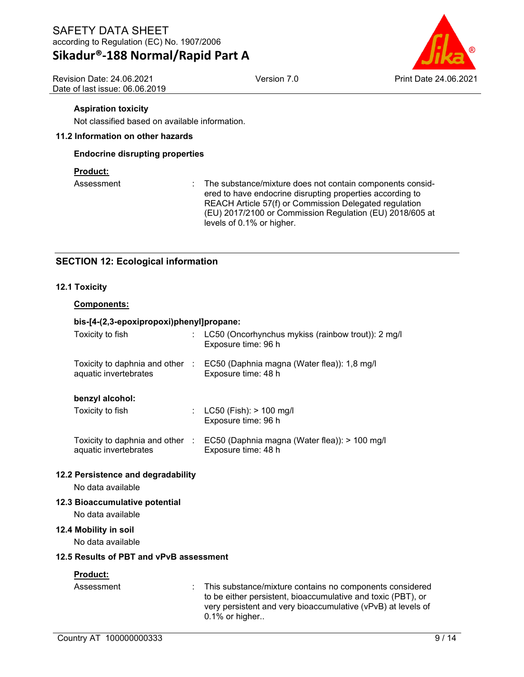Revision Date: 24.06.2021 Date of last issue: 06.06.2019



### **Aspiration toxicity**

Not classified based on available information.

#### **11.2 Information on other hazards**

#### **Endocrine disrupting properties**

#### **Product:**

Assessment : The substance/mixture does not contain components considered to have endocrine disrupting properties according to REACH Article 57(f) or Commission Delegated regulation (EU) 2017/2100 or Commission Regulation (EU) 2018/605 at levels of 0.1% or higher.

## **SECTION 12: Ecological information**

#### **12.1 Toxicity**

#### **Components:**

#### **bis-[4-(2,3-epoxipropoxi)phenyl]propane:**

| Toxicity to fish                                         | LC50 (Oncorhynchus mykiss (rainbow trout)): 2 mg/l<br>Exposure time: 96 h |
|----------------------------------------------------------|---------------------------------------------------------------------------|
| Toxicity to daphnia and other :<br>aquatic invertebrates | EC50 (Daphnia magna (Water flea)): 1,8 mg/l<br>Exposure time: 48 h        |
| benzyl alcohol:<br>Toxicity to fish                      | : $LC50$ (Fish): $> 100$ mg/l<br>Exposure time: 96 h                      |

#### Toxicity to daphnia and other : EC50 (Daphnia magna (Water flea)): > 100 mg/l aquatic invertebrates Exposure time: 48 h

### **12.2 Persistence and degradability**

No data available

#### **12.3 Bioaccumulative potential**

No data available

#### **12.4 Mobility in soil**

No data available

#### **12.5 Results of PBT and vPvB assessment**

#### **Product:**

| Assessment<br>to be either persistent, bioaccumulative and toxic (PBT), or<br>very persistent and very bioaccumulative (vPvB) at levels of<br>$0.1\%$ or higher |  | : This substance/mixture contains no components considered |
|-----------------------------------------------------------------------------------------------------------------------------------------------------------------|--|------------------------------------------------------------|
|-----------------------------------------------------------------------------------------------------------------------------------------------------------------|--|------------------------------------------------------------|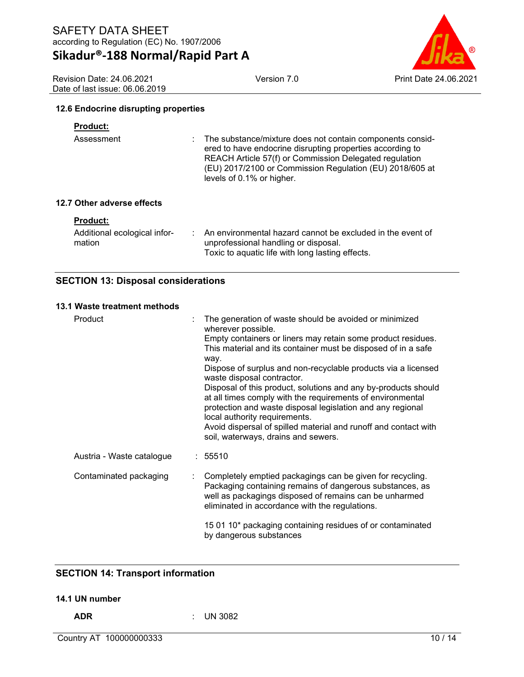Version 7.0 Print Date 24.06.2021

Revision Date: 24.06.2021 Date of last issue: 06.06.2019

#### **12.6 Endocrine disrupting properties**

#### **Product:**

| Assessment | : The substance/mixture does not contain components consid-<br>ered to have endocrine disrupting properties according to<br>REACH Article 57(f) or Commission Delegated regulation<br>(EU) 2017/2100 or Commission Regulation (EU) 2018/605 at<br>levels of 0.1% or higher. |
|------------|-----------------------------------------------------------------------------------------------------------------------------------------------------------------------------------------------------------------------------------------------------------------------------|
|            |                                                                                                                                                                                                                                                                             |

### **12.7 Other adverse effects**

| Additional ecological infor-<br>mation | An environmental hazard cannot be excluded in the event of<br>unprofessional handling or disposal. |
|----------------------------------------|----------------------------------------------------------------------------------------------------|
|                                        | Toxic to aquatic life with long lasting effects.                                                   |

### **SECTION 13: Disposal considerations**

#### **13.1 Waste treatment methods**

| Product                   |  | The generation of waste should be avoided or minimized<br>wherever possible.                                                                                                                                                      |
|---------------------------|--|-----------------------------------------------------------------------------------------------------------------------------------------------------------------------------------------------------------------------------------|
|                           |  | Empty containers or liners may retain some product residues.<br>This material and its container must be disposed of in a safe<br>way.                                                                                             |
|                           |  | Dispose of surplus and non-recyclable products via a licensed<br>waste disposal contractor.                                                                                                                                       |
|                           |  | Disposal of this product, solutions and any by-products should<br>at all times comply with the requirements of environmental<br>protection and waste disposal legislation and any regional<br>local authority requirements.       |
|                           |  | Avoid dispersal of spilled material and runoff and contact with<br>soil, waterways, drains and sewers.                                                                                                                            |
| Austria - Waste catalogue |  | : 55510                                                                                                                                                                                                                           |
| Contaminated packaging    |  | Completely emptied packagings can be given for recycling.<br>Packaging containing remains of dangerous substances, as<br>well as packagings disposed of remains can be unharmed<br>eliminated in accordance with the regulations. |
|                           |  | 15 01 10* packaging containing residues of or contaminated<br>by dangerous substances                                                                                                                                             |

# **SECTION 14: Transport information**

#### **14.1 UN number**

**ADR** : UN 3082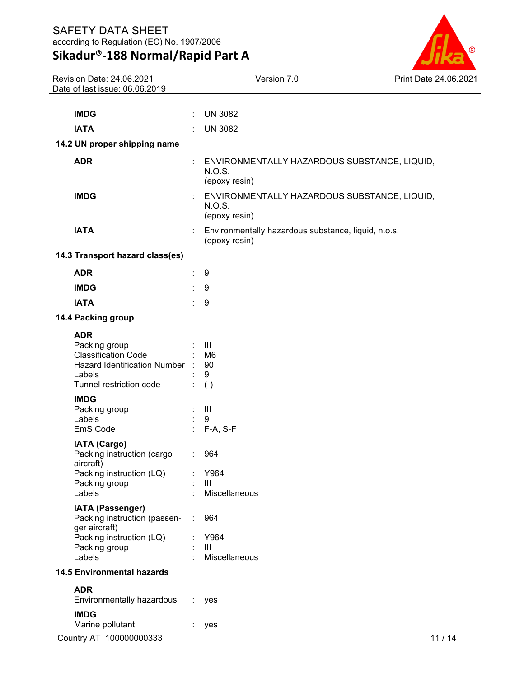

| Revision Date: 24.06.2021<br>Date of last issue: 06.06.2019                                                                      |   | Version 7.0                                                             | Print Date 24.06.2021 |
|----------------------------------------------------------------------------------------------------------------------------------|---|-------------------------------------------------------------------------|-----------------------|
|                                                                                                                                  |   |                                                                         |                       |
| <b>IMDG</b>                                                                                                                      | ÷ | <b>UN 3082</b>                                                          |                       |
| <b>IATA</b>                                                                                                                      |   | <b>UN 3082</b>                                                          |                       |
| 14.2 UN proper shipping name                                                                                                     |   |                                                                         |                       |
| <b>ADR</b>                                                                                                                       |   | ENVIRONMENTALLY HAZARDOUS SUBSTANCE, LIQUID,<br>N.O.S.<br>(epoxy resin) |                       |
| <b>IMDG</b>                                                                                                                      |   | ENVIRONMENTALLY HAZARDOUS SUBSTANCE, LIQUID,<br>N.O.S.<br>(epoxy resin) |                       |
| <b>IATA</b>                                                                                                                      |   | : Environmentally hazardous substance, liquid, n.o.s.<br>(epoxy resin)  |                       |
| 14.3 Transport hazard class(es)                                                                                                  |   |                                                                         |                       |
| <b>ADR</b>                                                                                                                       | ÷ | 9                                                                       |                       |
| <b>IMDG</b>                                                                                                                      |   | 9                                                                       |                       |
| <b>IATA</b>                                                                                                                      | ÷ | 9                                                                       |                       |
| 14.4 Packing group                                                                                                               |   |                                                                         |                       |
| <b>ADR</b><br>Packing group<br><b>Classification Code</b><br>Hazard Identification Number :<br>Labels<br>Tunnel restriction code |   | $\mathbf{III}$<br>M <sub>6</sub><br>90<br>9                             |                       |
| <b>IMDG</b><br>Packing group<br>Labels<br>EmS Code                                                                               |   | $(-)$<br>$\  \ $<br>9<br>F-A, S-F                                       |                       |
| <b>IATA (Cargo)</b><br>Packing instruction (cargo<br>aircraft)<br>Packing instruction (LQ)<br>Packing group<br>Labels            |   | 964<br>Y964<br>III<br>Miscellaneous                                     |                       |
| <b>IATA (Passenger)</b><br>Packing instruction (passen-<br>ger aircraft)<br>Packing instruction (LQ)<br>Packing group<br>Labels  | ÷ | 964<br>Y964<br>$\mathbf{III}$<br>Miscellaneous                          |                       |
| <b>14.5 Environmental hazards</b>                                                                                                |   |                                                                         |                       |
| <b>ADR</b><br>Environmentally hazardous<br><b>IMDG</b>                                                                           | ÷ | yes                                                                     |                       |
| Marine pollutant                                                                                                                 | ÷ | yes                                                                     |                       |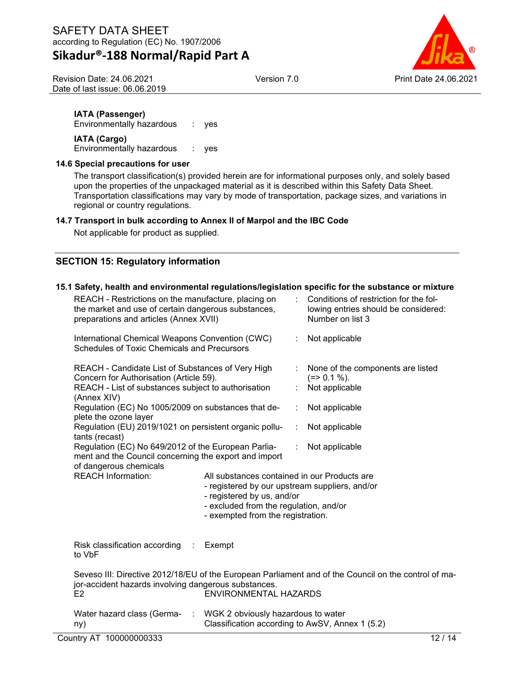Revision Date: 24.06.2021 Date of last issue: 06.06.2019



**IATA (Passenger)**

Environmentally hazardous : yes **IATA (Cargo)**

Environmentally hazardous : yes

### **14.6 Special precautions for user**

The transport classification(s) provided herein are for informational purposes only, and solely based upon the properties of the unpackaged material as it is described within this Safety Data Sheet. Transportation classifications may vary by mode of transportation, package sizes, and variations in regional or country regulations.

#### **14.7 Transport in bulk according to Annex II of Marpol and the IBC Code**

Not applicable for product as supplied.

# **SECTION 15: Regulatory information**

#### **15.1 Safety, health and environmental regulations/legislation specific for the substance or mixture**

| Country AT 100000000333                                                                                                                              |                                                                                                                                                                                                             |   | 12/14                                                                                                |
|------------------------------------------------------------------------------------------------------------------------------------------------------|-------------------------------------------------------------------------------------------------------------------------------------------------------------------------------------------------------------|---|------------------------------------------------------------------------------------------------------|
| Water hazard class (Germa- : WGK 2 obviously hazardous to water<br>ny)                                                                               | Classification according to AwSV, Annex 1 (5.2)                                                                                                                                                             |   |                                                                                                      |
| jor-accident hazards involving dangerous substances.<br>F <sub>2</sub>                                                                               | ENVIRONMENTAL HAZARDS                                                                                                                                                                                       |   | Seveso III: Directive 2012/18/EU of the European Parliament and of the Council on the control of ma- |
| Risk classification according :<br>to VbF                                                                                                            | Exempt                                                                                                                                                                                                      |   |                                                                                                      |
| of dangerous chemicals<br><b>REACH Information:</b>                                                                                                  | All substances contained in our Products are<br>- registered by our upstream suppliers, and/or<br>- registered by us, and/or<br>- excluded from the regulation, and/or<br>- exempted from the registration. |   |                                                                                                      |
| tants (recast)<br>Regulation (EC) No 649/2012 of the European Parlia-<br>ment and the Council concerning the export and import                       |                                                                                                                                                                                                             | ÷ | Not applicable                                                                                       |
| plete the ozone layer<br>Regulation (EU) 2019/1021 on persistent organic pollu-                                                                      |                                                                                                                                                                                                             | ÷ | Not applicable                                                                                       |
| (Annex XIV)<br>Regulation (EC) No 1005/2009 on substances that de-                                                                                   |                                                                                                                                                                                                             |   | Not applicable                                                                                       |
| REACH - List of substances subject to authorisation                                                                                                  |                                                                                                                                                                                                             |   | Not applicable                                                                                       |
| REACH - Candidate List of Substances of Very High<br>Concern for Authorisation (Article 59).                                                         |                                                                                                                                                                                                             |   | None of the components are listed<br>$(=>0.1\%).$                                                    |
| International Chemical Weapons Convention (CWC)<br>Schedules of Toxic Chemicals and Precursors                                                       |                                                                                                                                                                                                             | ÷ | Not applicable                                                                                       |
| REACH - Restrictions on the manufacture, placing on<br>the market and use of certain dangerous substances,<br>preparations and articles (Annex XVII) |                                                                                                                                                                                                             |   | Conditions of restriction for the fol-<br>lowing entries should be considered:<br>Number on list 3   |
|                                                                                                                                                      |                                                                                                                                                                                                             |   |                                                                                                      |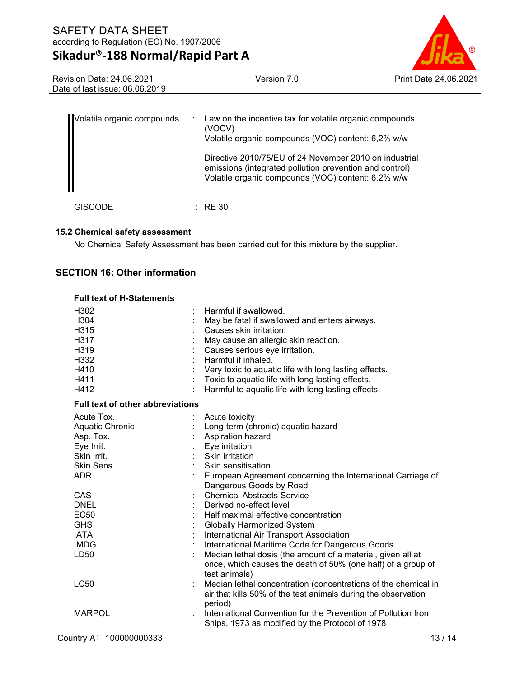

Revision Date: 24.06.2021 Date of last issue: 06.06.2019

| Volatile organic compounds | ÷. | Law on the incentive tax for volatile organic compounds<br>(VOCV)<br>Volatile organic compounds (VOC) content: 6,2% w/w<br>Directive 2010/75/EU of 24 November 2010 on industrial<br>emissions (integrated pollution prevention and control)<br>Volatile organic compounds (VOC) content: 6,2% w/w |
|----------------------------|----|----------------------------------------------------------------------------------------------------------------------------------------------------------------------------------------------------------------------------------------------------------------------------------------------------|
|                            |    | : RE 30                                                                                                                                                                                                                                                                                            |

#### **15.2 Chemical safety assessment**

No Chemical Safety Assessment has been carried out for this mixture by the supplier.

### **SECTION 16: Other information**

| <b>Full text of H-Statements</b>        |                                                                                                                  |  |  |  |
|-----------------------------------------|------------------------------------------------------------------------------------------------------------------|--|--|--|
| H302                                    | Harmful if swallowed.                                                                                            |  |  |  |
| H304                                    | May be fatal if swallowed and enters airways.                                                                    |  |  |  |
| H315                                    | Causes skin irritation.                                                                                          |  |  |  |
| H317                                    | May cause an allergic skin reaction.                                                                             |  |  |  |
| H319                                    | Causes serious eye irritation.                                                                                   |  |  |  |
| H332                                    | Harmful if inhaled.                                                                                              |  |  |  |
| H410                                    | Very toxic to aquatic life with long lasting effects.                                                            |  |  |  |
| H411                                    | Toxic to aquatic life with long lasting effects.                                                                 |  |  |  |
| H412                                    | Harmful to aquatic life with long lasting effects.                                                               |  |  |  |
| <b>Full text of other abbreviations</b> |                                                                                                                  |  |  |  |
| Acute Tox.                              | Acute toxicity                                                                                                   |  |  |  |
| Aquatic Chronic                         | Long-term (chronic) aquatic hazard                                                                               |  |  |  |
| Asp. Tox.                               | Aspiration hazard                                                                                                |  |  |  |
| Eye Irrit.                              | Eye irritation                                                                                                   |  |  |  |
| Skin Irrit.                             | Skin irritation                                                                                                  |  |  |  |
| Skin Sens.                              | Skin sensitisation                                                                                               |  |  |  |
| ADR.                                    | European Agreement concerning the International Carriage of<br>Dangerous Goods by Road                           |  |  |  |
| CAS                                     | <b>Chemical Abstracts Service</b>                                                                                |  |  |  |
| <b>DNEL</b>                             | Derived no-effect level                                                                                          |  |  |  |
| <b>EC50</b>                             | Half maximal effective concentration                                                                             |  |  |  |
| <b>GHS</b>                              | <b>Globally Harmonized System</b>                                                                                |  |  |  |
| <b>IATA</b>                             | International Air Transport Association                                                                          |  |  |  |
| <b>IMDG</b>                             | International Maritime Code for Dangerous Goods                                                                  |  |  |  |
| LD50                                    | Median lethal dosis (the amount of a material, given all at                                                      |  |  |  |
|                                         | once, which causes the death of 50% (one half) of a group of<br>test animals)                                    |  |  |  |
| <b>LC50</b>                             | Median lethal concentration (concentrations of the chemical in                                                   |  |  |  |
|                                         | air that kills 50% of the test animals during the observation<br>period)                                         |  |  |  |
| <b>MARPOL</b>                           | International Convention for the Prevention of Pollution from<br>Ships, 1973 as modified by the Protocol of 1978 |  |  |  |